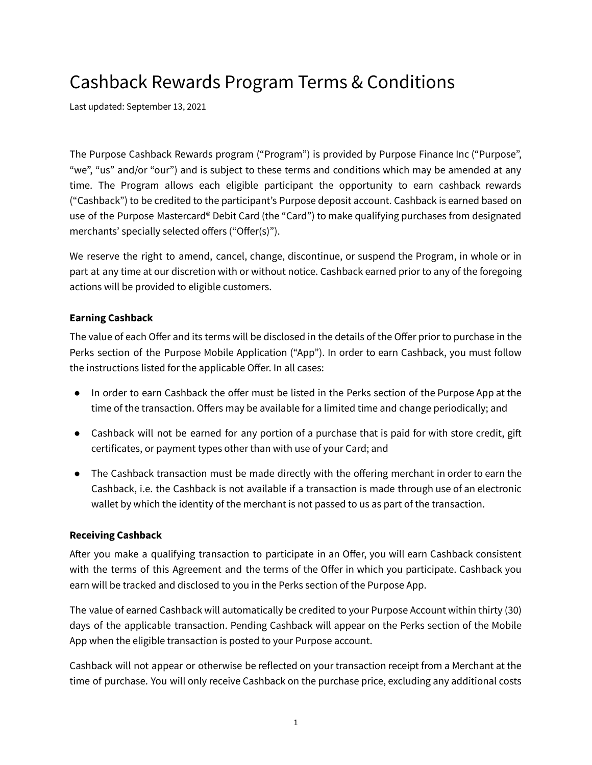# Cashback Rewards Program Terms & Conditions

Last updated: September 13, 2021

The Purpose Cashback Rewards program ("Program") is provided by Purpose Finance Inc ("Purpose", "we", "us" and/or "our") and is subject to these terms and conditions which may be amended at any time. The Program allows each eligible participant the opportunity to earn cashback rewards ("Cashback") to be credited to the participant's Purpose deposit account. Cashback is earned based on use of the Purpose Mastercard® Debit Card (the "Card") to make qualifying purchases from designated merchants' specially selected offers ("Offer(s)").

We reserve the right to amend, cancel, change, discontinue, or suspend the Program, in whole or in part at any time at our discretion with or without notice. Cashback earned prior to any of the foregoing actions will be provided to eligible customers.

# **Earning Cashback**

The value of each Offer and its terms will be disclosed in the details of the Offer prior to purchase in the Perks section of the Purpose Mobile Application ("App"). In order to earn Cashback, you must follow the instructions listed for the applicable Offer. In all cases:

- In order to earn Cashback the offer must be listed in the Perks section of the Purpose App at the time of the transaction. Offers may be available for a limited time and change periodically; and
- Cashback will not be earned for any portion of a purchase that is paid for with store credit, gift certificates, or payment types other than with use of your Card; and
- The Cashback transaction must be made directly with the offering merchant in order to earn the Cashback, i.e. the Cashback is not available if a transaction is made through use of an electronic wallet by which the identity of the merchant is not passed to us as part of the transaction.

### **Receiving Cashback**

After you make a qualifying transaction to participate in an Offer, you will earn Cashback consistent with the terms of this Agreement and the terms of the Offer in which you participate. Cashback you earn will be tracked and disclosed to you in the Perks section of the Purpose App.

The value of earned Cashback will automatically be credited to your Purpose Account within thirty (30) days of the applicable transaction. Pending Cashback will appear on the Perks section of the Mobile App when the eligible transaction is posted to your Purpose account.

Cashback will not appear or otherwise be reflected on your transaction receipt from a Merchant at the time of purchase. You will only receive Cashback on the purchase price, excluding any additional costs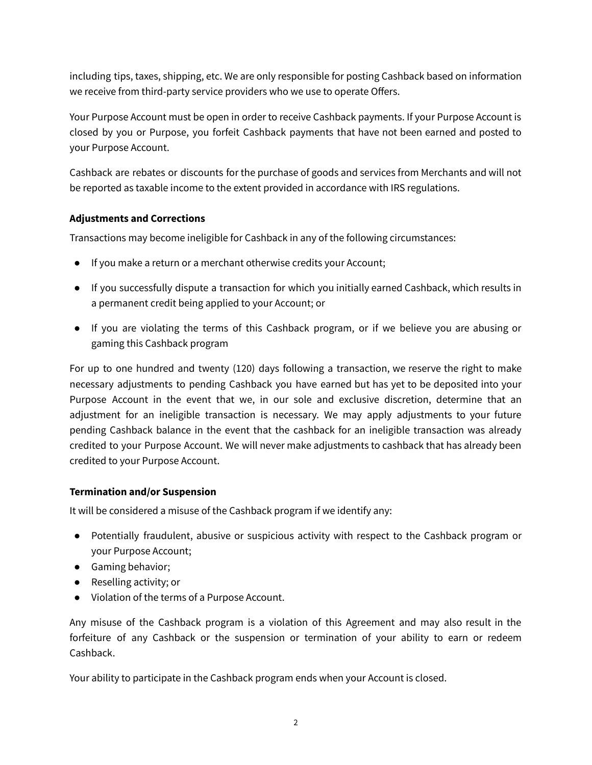including tips, taxes, shipping, etc. We are only responsible for posting Cashback based on information we receive from third-party service providers who we use to operate Offers.

Your Purpose Account must be open in order to receive Cashback payments. If your Purpose Account is closed by you or Purpose, you forfeit Cashback payments that have not been earned and posted to your Purpose Account.

Cashback are rebates or discounts for the purchase of goods and services from Merchants and will not be reported as taxable income to the extent provided in accordance with IRS regulations.

# **Adjustments and Corrections**

Transactions may become ineligible for Cashback in any of the following circumstances:

- If you make a return or a merchant otherwise credits your Account;
- If you successfully dispute a transaction for which you initially earned Cashback, which results in a permanent credit being applied to your Account; or
- If you are violating the terms of this Cashback program, or if we believe you are abusing or gaming this Cashback program

For up to one hundred and twenty (120) days following a transaction, we reserve the right to make necessary adjustments to pending Cashback you have earned but has yet to be deposited into your Purpose Account in the event that we, in our sole and exclusive discretion, determine that an adjustment for an ineligible transaction is necessary. We may apply adjustments to your future pending Cashback balance in the event that the cashback for an ineligible transaction was already credited to your Purpose Account. We will never make adjustments to cashback that has already been credited to your Purpose Account.

# **Termination and/or Suspension**

It will be considered a misuse of the Cashback program if we identify any:

- Potentially fraudulent, abusive or suspicious activity with respect to the Cashback program or your Purpose Account;
- Gaming behavior;
- Reselling activity; or
- Violation of the terms of a Purpose Account.

Any misuse of the Cashback program is a violation of this Agreement and may also result in the forfeiture of any Cashback or the suspension or termination of your ability to earn or redeem Cashback.

Your ability to participate in the Cashback program ends when your Account is closed.